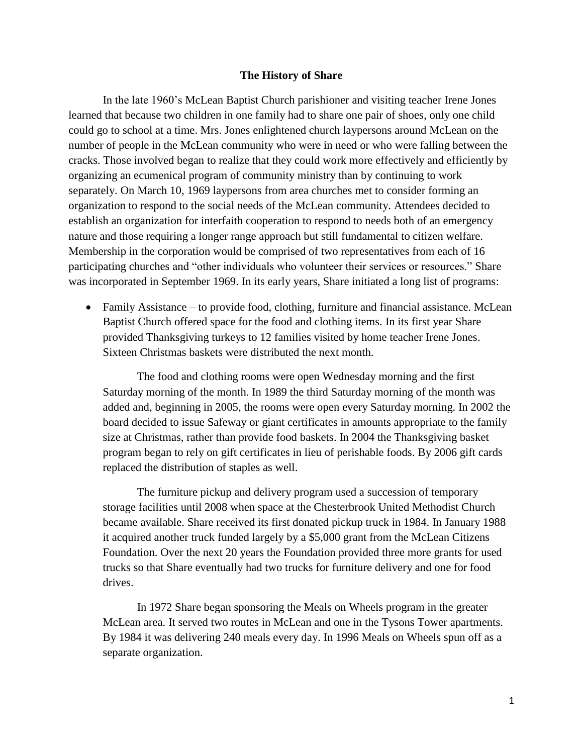## **The History of Share**

In the late 1960's McLean Baptist Church parishioner and visiting teacher Irene Jones learned that because two children in one family had to share one pair of shoes, only one child could go to school at a time. Mrs. Jones enlightened church laypersons around McLean on the number of people in the McLean community who were in need or who were falling between the cracks. Those involved began to realize that they could work more effectively and efficiently by organizing an ecumenical program of community ministry than by continuing to work separately. On March 10, 1969 laypersons from area churches met to consider forming an organization to respond to the social needs of the McLean community. Attendees decided to establish an organization for interfaith cooperation to respond to needs both of an emergency nature and those requiring a longer range approach but still fundamental to citizen welfare. Membership in the corporation would be comprised of two representatives from each of 16 participating churches and "other individuals who volunteer their services or resources." Share was incorporated in September 1969. In its early years, Share initiated a long list of programs:

• Family Assistance – to provide food, clothing, furniture and financial assistance. McLean Baptist Church offered space for the food and clothing items. In its first year Share provided Thanksgiving turkeys to 12 families visited by home teacher Irene Jones. Sixteen Christmas baskets were distributed the next month.

The food and clothing rooms were open Wednesday morning and the first Saturday morning of the month. In 1989 the third Saturday morning of the month was added and, beginning in 2005, the rooms were open every Saturday morning. In 2002 the board decided to issue Safeway or giant certificates in amounts appropriate to the family size at Christmas, rather than provide food baskets. In 2004 the Thanksgiving basket program began to rely on gift certificates in lieu of perishable foods. By 2006 gift cards replaced the distribution of staples as well.

The furniture pickup and delivery program used a succession of temporary storage facilities until 2008 when space at the Chesterbrook United Methodist Church became available. Share received its first donated pickup truck in 1984. In January 1988 it acquired another truck funded largely by a \$5,000 grant from the McLean Citizens Foundation. Over the next 20 years the Foundation provided three more grants for used trucks so that Share eventually had two trucks for furniture delivery and one for food drives.

In 1972 Share began sponsoring the Meals on Wheels program in the greater McLean area. It served two routes in McLean and one in the Tysons Tower apartments. By 1984 it was delivering 240 meals every day. In 1996 Meals on Wheels spun off as a separate organization.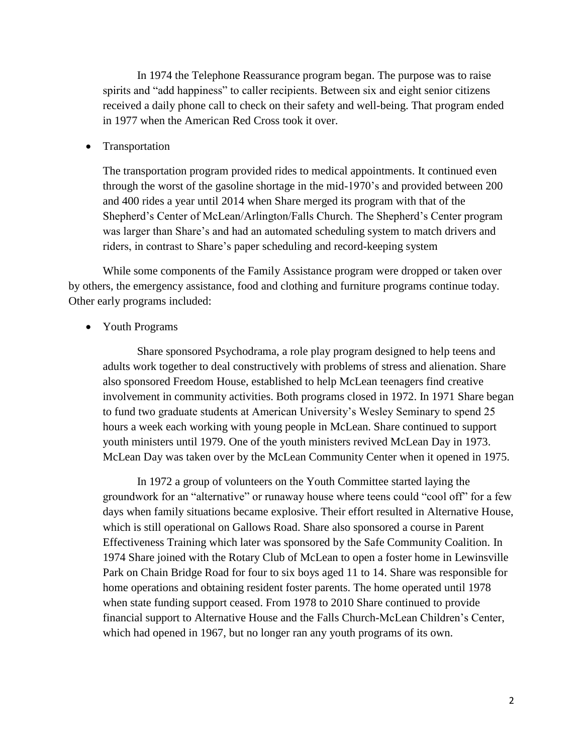In 1974 the Telephone Reassurance program began. The purpose was to raise spirits and "add happiness" to caller recipients. Between six and eight senior citizens received a daily phone call to check on their safety and well-being. That program ended in 1977 when the American Red Cross took it over.

**Transportation** 

The transportation program provided rides to medical appointments. It continued even through the worst of the gasoline shortage in the mid-1970's and provided between 200 and 400 rides a year until 2014 when Share merged its program with that of the Shepherd's Center of McLean/Arlington/Falls Church. The Shepherd's Center program was larger than Share's and had an automated scheduling system to match drivers and riders, in contrast to Share's paper scheduling and record-keeping system

While some components of the Family Assistance program were dropped or taken over by others, the emergency assistance, food and clothing and furniture programs continue today. Other early programs included:

• Youth Programs

Share sponsored Psychodrama, a role play program designed to help teens and adults work together to deal constructively with problems of stress and alienation. Share also sponsored Freedom House, established to help McLean teenagers find creative involvement in community activities. Both programs closed in 1972. In 1971 Share began to fund two graduate students at American University's Wesley Seminary to spend 25 hours a week each working with young people in McLean. Share continued to support youth ministers until 1979. One of the youth ministers revived McLean Day in 1973. McLean Day was taken over by the McLean Community Center when it opened in 1975.

In 1972 a group of volunteers on the Youth Committee started laying the groundwork for an "alternative" or runaway house where teens could "cool off" for a few days when family situations became explosive. Their effort resulted in Alternative House, which is still operational on Gallows Road. Share also sponsored a course in Parent Effectiveness Training which later was sponsored by the Safe Community Coalition. In 1974 Share joined with the Rotary Club of McLean to open a foster home in Lewinsville Park on Chain Bridge Road for four to six boys aged 11 to 14. Share was responsible for home operations and obtaining resident foster parents. The home operated until 1978 when state funding support ceased. From 1978 to 2010 Share continued to provide financial support to Alternative House and the Falls Church-McLean Children's Center, which had opened in 1967, but no longer ran any youth programs of its own.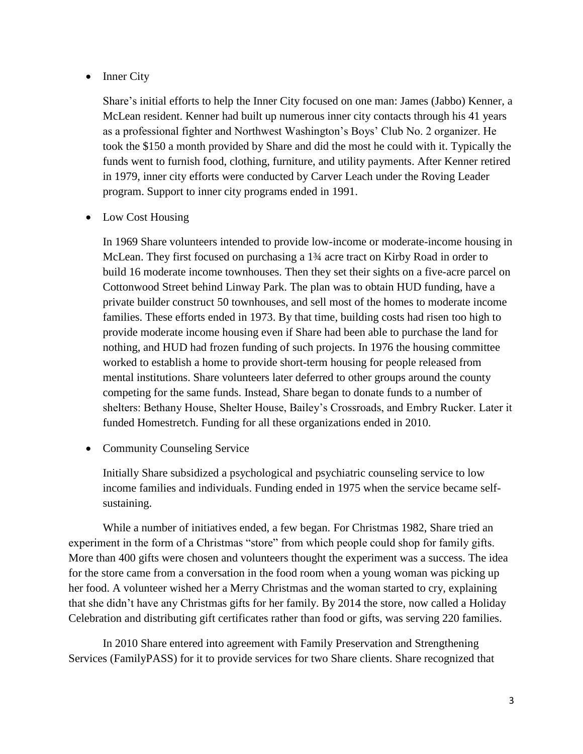## • Inner City

Share's initial efforts to help the Inner City focused on one man: James (Jabbo) Kenner, a McLean resident. Kenner had built up numerous inner city contacts through his 41 years as a professional fighter and Northwest Washington's Boys' Club No. 2 organizer. He took the \$150 a month provided by Share and did the most he could with it. Typically the funds went to furnish food, clothing, furniture, and utility payments. After Kenner retired in 1979, inner city efforts were conducted by Carver Leach under the Roving Leader program. Support to inner city programs ended in 1991.

• Low Cost Housing

In 1969 Share volunteers intended to provide low-income or moderate-income housing in McLean. They first focused on purchasing a 1¾ acre tract on Kirby Road in order to build 16 moderate income townhouses. Then they set their sights on a five-acre parcel on Cottonwood Street behind Linway Park. The plan was to obtain HUD funding, have a private builder construct 50 townhouses, and sell most of the homes to moderate income families. These efforts ended in 1973. By that time, building costs had risen too high to provide moderate income housing even if Share had been able to purchase the land for nothing, and HUD had frozen funding of such projects. In 1976 the housing committee worked to establish a home to provide short-term housing for people released from mental institutions. Share volunteers later deferred to other groups around the county competing for the same funds. Instead, Share began to donate funds to a number of shelters: Bethany House, Shelter House, Bailey's Crossroads, and Embry Rucker. Later it funded Homestretch. Funding for all these organizations ended in 2010.

• Community Counseling Service

Initially Share subsidized a psychological and psychiatric counseling service to low income families and individuals. Funding ended in 1975 when the service became selfsustaining.

While a number of initiatives ended, a few began. For Christmas 1982, Share tried an experiment in the form of a Christmas "store" from which people could shop for family gifts. More than 400 gifts were chosen and volunteers thought the experiment was a success. The idea for the store came from a conversation in the food room when a young woman was picking up her food. A volunteer wished her a Merry Christmas and the woman started to cry, explaining that she didn't have any Christmas gifts for her family. By 2014 the store, now called a Holiday Celebration and distributing gift certificates rather than food or gifts, was serving 220 families.

In 2010 Share entered into agreement with Family Preservation and Strengthening Services (FamilyPASS) for it to provide services for two Share clients. Share recognized that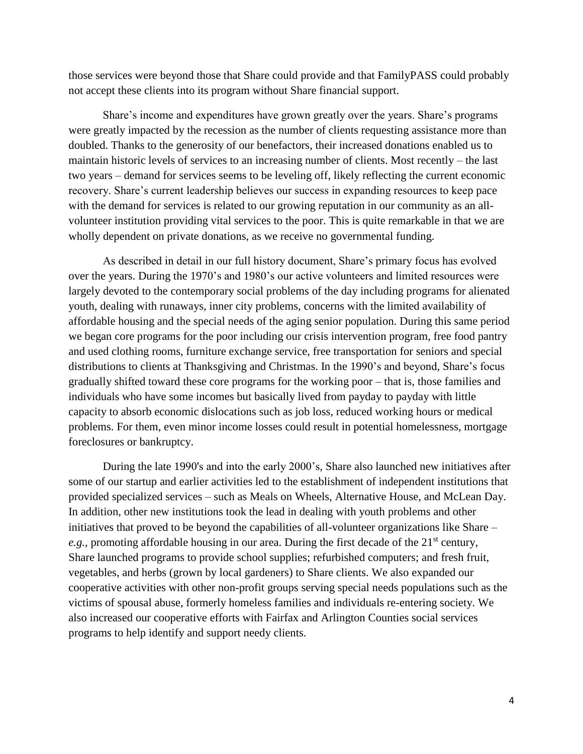those services were beyond those that Share could provide and that FamilyPASS could probably not accept these clients into its program without Share financial support.

Share's income and expenditures have grown greatly over the years. Share's programs were greatly impacted by the recession as the number of clients requesting assistance more than doubled. Thanks to the generosity of our benefactors, their increased donations enabled us to maintain historic levels of services to an increasing number of clients. Most recently – the last two years – demand for services seems to be leveling off, likely reflecting the current economic recovery. Share's current leadership believes our success in expanding resources to keep pace with the demand for services is related to our growing reputation in our community as an allvolunteer institution providing vital services to the poor. This is quite remarkable in that we are wholly dependent on private donations, as we receive no governmental funding.

As described in detail in our full history document, Share's primary focus has evolved over the years. During the 1970's and 1980's our active volunteers and limited resources were largely devoted to the contemporary social problems of the day including programs for alienated youth, dealing with runaways, inner city problems, concerns with the limited availability of affordable housing and the special needs of the aging senior population. During this same period we began core programs for the poor including our crisis intervention program, free food pantry and used clothing rooms, furniture exchange service, free transportation for seniors and special distributions to clients at Thanksgiving and Christmas. In the 1990's and beyond, Share's focus gradually shifted toward these core programs for the working poor – that is, those families and individuals who have some incomes but basically lived from payday to payday with little capacity to absorb economic dislocations such as job loss, reduced working hours or medical problems. For them, even minor income losses could result in potential homelessness, mortgage foreclosures or bankruptcy.

During the late 1990's and into the early 2000's, Share also launched new initiatives after some of our startup and earlier activities led to the establishment of independent institutions that provided specialized services – such as Meals on Wheels, Alternative House, and McLean Day. In addition, other new institutions took the lead in dealing with youth problems and other initiatives that proved to be beyond the capabilities of all-volunteer organizations like Share – *e.g.*, promoting affordable housing in our area. During the first decade of the 21<sup>st</sup> century, Share launched programs to provide school supplies; refurbished computers; and fresh fruit, vegetables, and herbs (grown by local gardeners) to Share clients. We also expanded our cooperative activities with other non-profit groups serving special needs populations such as the victims of spousal abuse, formerly homeless families and individuals re-entering society. We also increased our cooperative efforts with Fairfax and Arlington Counties social services programs to help identify and support needy clients.